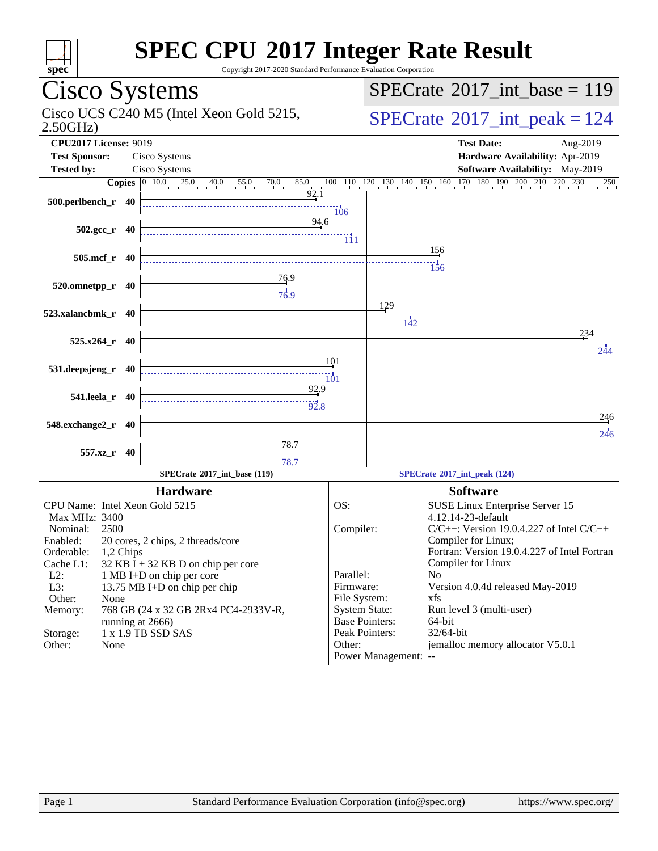| Cisco Systems<br>$SPECrate^{\circledast}2017$ int base = 119<br>Cisco UCS C240 M5 (Intel Xeon Gold 5215,<br>$SPECrate^{\circ}2017\_int\_peak = 124$<br>2.50GHz<br><b>CPU2017 License: 9019</b><br><b>Test Date:</b><br>Aug-2019<br><b>Test Sponsor:</b><br>Cisco Systems<br>Hardware Availability: Apr-2019<br><b>Tested by:</b><br>Cisco Systems<br>Software Availability: May-2019<br>$130 \quad 140 \quad 150 \quad 160 \quad 170 \quad 180 \quad 190 \quad 200 \quad 210 \quad 220 \quad 230$<br>85.0<br>100 110<br>120<br>250<br>92.1<br>500.perlbench_r 40<br>106<br>94.6<br>$502.\text{gcc r}$ 40<br>TH <sub>1</sub><br>156<br>505.mcf_r 40<br>156<br><u>76</u> .9<br>520.omnetpp_r 40<br>$\frac{1}{76.9}$<br>:129<br>523.xalancbmk_r 40<br>$\overline{142}$<br>234<br>$525.x264$ r 40<br>244<br>101<br>531.deepsjeng_r 40<br>101<br>92.9<br>541.leela_r 40<br>246<br>548.exchange2_r 40<br>246<br><u>78</u> .7<br>557.xz_r 40<br>78.7<br>SPECrate®2017_int_base (119)<br>SPECrate®2017_int_peak (124)<br><b>Hardware</b><br><b>Software</b><br>OS:<br>CPU Name: Intel Xeon Gold 5215<br>SUSE Linux Enterprise Server 15<br>4.12.14-23-default<br>Max MHz: 3400<br>2500<br>$C/C++$ : Version 19.0.4.227 of Intel $C/C++$<br>Compiler:<br>Nominal:<br>Enabled:<br>Compiler for Linux;<br>20 cores, 2 chips, 2 threads/core<br>Fortran: Version 19.0.4.227 of Intel Fortran<br>Orderable:<br>1,2 Chips<br>Compiler for Linux<br>Cache L1:<br>$32$ KB I + 32 KB D on chip per core<br>$L2$ :<br>Parallel:<br>N <sub>0</sub><br>1 MB I+D on chip per core<br>Version 4.0.4d released May-2019<br>$L3$ :<br>Firmware:<br>13.75 MB I+D on chip per chip<br>File System:<br>Other:<br>xfs<br>None<br><b>System State:</b><br>Memory:<br>768 GB (24 x 32 GB 2Rx4 PC4-2933V-R,<br>Run level 3 (multi-user)<br><b>Base Pointers:</b><br>64-bit<br>running at 2666)<br>32/64-bit<br>1 x 1.9 TB SSD SAS<br>Peak Pointers:<br>Storage:<br>Other:<br>jemalloc memory allocator V5.0.1<br>Other:<br>None<br>Power Management: -- | $spec^*$ | <b>SPEC CPU®2017 Integer Rate Result</b><br>Copyright 2017-2020 Standard Performance Evaluation Corporation |
|--------------------------------------------------------------------------------------------------------------------------------------------------------------------------------------------------------------------------------------------------------------------------------------------------------------------------------------------------------------------------------------------------------------------------------------------------------------------------------------------------------------------------------------------------------------------------------------------------------------------------------------------------------------------------------------------------------------------------------------------------------------------------------------------------------------------------------------------------------------------------------------------------------------------------------------------------------------------------------------------------------------------------------------------------------------------------------------------------------------------------------------------------------------------------------------------------------------------------------------------------------------------------------------------------------------------------------------------------------------------------------------------------------------------------------------------------------------------------------------------------------------------------------------------------------------------------------------------------------------------------------------------------------------------------------------------------------------------------------------------------------------------------------------------------------------------------------------------------------------------------------------------------------------------------------------------------------------------------------------------------------------------------|----------|-------------------------------------------------------------------------------------------------------------|
|                                                                                                                                                                                                                                                                                                                                                                                                                                                                                                                                                                                                                                                                                                                                                                                                                                                                                                                                                                                                                                                                                                                                                                                                                                                                                                                                                                                                                                                                                                                                                                                                                                                                                                                                                                                                                                                                                                                                                                                                                          |          |                                                                                                             |
|                                                                                                                                                                                                                                                                                                                                                                                                                                                                                                                                                                                                                                                                                                                                                                                                                                                                                                                                                                                                                                                                                                                                                                                                                                                                                                                                                                                                                                                                                                                                                                                                                                                                                                                                                                                                                                                                                                                                                                                                                          |          |                                                                                                             |
|                                                                                                                                                                                                                                                                                                                                                                                                                                                                                                                                                                                                                                                                                                                                                                                                                                                                                                                                                                                                                                                                                                                                                                                                                                                                                                                                                                                                                                                                                                                                                                                                                                                                                                                                                                                                                                                                                                                                                                                                                          |          |                                                                                                             |
|                                                                                                                                                                                                                                                                                                                                                                                                                                                                                                                                                                                                                                                                                                                                                                                                                                                                                                                                                                                                                                                                                                                                                                                                                                                                                                                                                                                                                                                                                                                                                                                                                                                                                                                                                                                                                                                                                                                                                                                                                          |          |                                                                                                             |
|                                                                                                                                                                                                                                                                                                                                                                                                                                                                                                                                                                                                                                                                                                                                                                                                                                                                                                                                                                                                                                                                                                                                                                                                                                                                                                                                                                                                                                                                                                                                                                                                                                                                                                                                                                                                                                                                                                                                                                                                                          |          |                                                                                                             |
|                                                                                                                                                                                                                                                                                                                                                                                                                                                                                                                                                                                                                                                                                                                                                                                                                                                                                                                                                                                                                                                                                                                                                                                                                                                                                                                                                                                                                                                                                                                                                                                                                                                                                                                                                                                                                                                                                                                                                                                                                          |          |                                                                                                             |
|                                                                                                                                                                                                                                                                                                                                                                                                                                                                                                                                                                                                                                                                                                                                                                                                                                                                                                                                                                                                                                                                                                                                                                                                                                                                                                                                                                                                                                                                                                                                                                                                                                                                                                                                                                                                                                                                                                                                                                                                                          |          |                                                                                                             |
|                                                                                                                                                                                                                                                                                                                                                                                                                                                                                                                                                                                                                                                                                                                                                                                                                                                                                                                                                                                                                                                                                                                                                                                                                                                                                                                                                                                                                                                                                                                                                                                                                                                                                                                                                                                                                                                                                                                                                                                                                          |          |                                                                                                             |
|                                                                                                                                                                                                                                                                                                                                                                                                                                                                                                                                                                                                                                                                                                                                                                                                                                                                                                                                                                                                                                                                                                                                                                                                                                                                                                                                                                                                                                                                                                                                                                                                                                                                                                                                                                                                                                                                                                                                                                                                                          |          |                                                                                                             |
|                                                                                                                                                                                                                                                                                                                                                                                                                                                                                                                                                                                                                                                                                                                                                                                                                                                                                                                                                                                                                                                                                                                                                                                                                                                                                                                                                                                                                                                                                                                                                                                                                                                                                                                                                                                                                                                                                                                                                                                                                          |          |                                                                                                             |
|                                                                                                                                                                                                                                                                                                                                                                                                                                                                                                                                                                                                                                                                                                                                                                                                                                                                                                                                                                                                                                                                                                                                                                                                                                                                                                                                                                                                                                                                                                                                                                                                                                                                                                                                                                                                                                                                                                                                                                                                                          |          |                                                                                                             |
|                                                                                                                                                                                                                                                                                                                                                                                                                                                                                                                                                                                                                                                                                                                                                                                                                                                                                                                                                                                                                                                                                                                                                                                                                                                                                                                                                                                                                                                                                                                                                                                                                                                                                                                                                                                                                                                                                                                                                                                                                          |          |                                                                                                             |
|                                                                                                                                                                                                                                                                                                                                                                                                                                                                                                                                                                                                                                                                                                                                                                                                                                                                                                                                                                                                                                                                                                                                                                                                                                                                                                                                                                                                                                                                                                                                                                                                                                                                                                                                                                                                                                                                                                                                                                                                                          |          |                                                                                                             |
|                                                                                                                                                                                                                                                                                                                                                                                                                                                                                                                                                                                                                                                                                                                                                                                                                                                                                                                                                                                                                                                                                                                                                                                                                                                                                                                                                                                                                                                                                                                                                                                                                                                                                                                                                                                                                                                                                                                                                                                                                          |          |                                                                                                             |
|                                                                                                                                                                                                                                                                                                                                                                                                                                                                                                                                                                                                                                                                                                                                                                                                                                                                                                                                                                                                                                                                                                                                                                                                                                                                                                                                                                                                                                                                                                                                                                                                                                                                                                                                                                                                                                                                                                                                                                                                                          |          |                                                                                                             |
|                                                                                                                                                                                                                                                                                                                                                                                                                                                                                                                                                                                                                                                                                                                                                                                                                                                                                                                                                                                                                                                                                                                                                                                                                                                                                                                                                                                                                                                                                                                                                                                                                                                                                                                                                                                                                                                                                                                                                                                                                          |          |                                                                                                             |
|                                                                                                                                                                                                                                                                                                                                                                                                                                                                                                                                                                                                                                                                                                                                                                                                                                                                                                                                                                                                                                                                                                                                                                                                                                                                                                                                                                                                                                                                                                                                                                                                                                                                                                                                                                                                                                                                                                                                                                                                                          |          |                                                                                                             |
|                                                                                                                                                                                                                                                                                                                                                                                                                                                                                                                                                                                                                                                                                                                                                                                                                                                                                                                                                                                                                                                                                                                                                                                                                                                                                                                                                                                                                                                                                                                                                                                                                                                                                                                                                                                                                                                                                                                                                                                                                          |          |                                                                                                             |
|                                                                                                                                                                                                                                                                                                                                                                                                                                                                                                                                                                                                                                                                                                                                                                                                                                                                                                                                                                                                                                                                                                                                                                                                                                                                                                                                                                                                                                                                                                                                                                                                                                                                                                                                                                                                                                                                                                                                                                                                                          |          |                                                                                                             |
|                                                                                                                                                                                                                                                                                                                                                                                                                                                                                                                                                                                                                                                                                                                                                                                                                                                                                                                                                                                                                                                                                                                                                                                                                                                                                                                                                                                                                                                                                                                                                                                                                                                                                                                                                                                                                                                                                                                                                                                                                          |          |                                                                                                             |
|                                                                                                                                                                                                                                                                                                                                                                                                                                                                                                                                                                                                                                                                                                                                                                                                                                                                                                                                                                                                                                                                                                                                                                                                                                                                                                                                                                                                                                                                                                                                                                                                                                                                                                                                                                                                                                                                                                                                                                                                                          |          |                                                                                                             |
|                                                                                                                                                                                                                                                                                                                                                                                                                                                                                                                                                                                                                                                                                                                                                                                                                                                                                                                                                                                                                                                                                                                                                                                                                                                                                                                                                                                                                                                                                                                                                                                                                                                                                                                                                                                                                                                                                                                                                                                                                          |          |                                                                                                             |
|                                                                                                                                                                                                                                                                                                                                                                                                                                                                                                                                                                                                                                                                                                                                                                                                                                                                                                                                                                                                                                                                                                                                                                                                                                                                                                                                                                                                                                                                                                                                                                                                                                                                                                                                                                                                                                                                                                                                                                                                                          |          |                                                                                                             |
|                                                                                                                                                                                                                                                                                                                                                                                                                                                                                                                                                                                                                                                                                                                                                                                                                                                                                                                                                                                                                                                                                                                                                                                                                                                                                                                                                                                                                                                                                                                                                                                                                                                                                                                                                                                                                                                                                                                                                                                                                          |          |                                                                                                             |
|                                                                                                                                                                                                                                                                                                                                                                                                                                                                                                                                                                                                                                                                                                                                                                                                                                                                                                                                                                                                                                                                                                                                                                                                                                                                                                                                                                                                                                                                                                                                                                                                                                                                                                                                                                                                                                                                                                                                                                                                                          |          |                                                                                                             |
|                                                                                                                                                                                                                                                                                                                                                                                                                                                                                                                                                                                                                                                                                                                                                                                                                                                                                                                                                                                                                                                                                                                                                                                                                                                                                                                                                                                                                                                                                                                                                                                                                                                                                                                                                                                                                                                                                                                                                                                                                          |          |                                                                                                             |
|                                                                                                                                                                                                                                                                                                                                                                                                                                                                                                                                                                                                                                                                                                                                                                                                                                                                                                                                                                                                                                                                                                                                                                                                                                                                                                                                                                                                                                                                                                                                                                                                                                                                                                                                                                                                                                                                                                                                                                                                                          |          |                                                                                                             |
|                                                                                                                                                                                                                                                                                                                                                                                                                                                                                                                                                                                                                                                                                                                                                                                                                                                                                                                                                                                                                                                                                                                                                                                                                                                                                                                                                                                                                                                                                                                                                                                                                                                                                                                                                                                                                                                                                                                                                                                                                          |          |                                                                                                             |
|                                                                                                                                                                                                                                                                                                                                                                                                                                                                                                                                                                                                                                                                                                                                                                                                                                                                                                                                                                                                                                                                                                                                                                                                                                                                                                                                                                                                                                                                                                                                                                                                                                                                                                                                                                                                                                                                                                                                                                                                                          |          |                                                                                                             |
|                                                                                                                                                                                                                                                                                                                                                                                                                                                                                                                                                                                                                                                                                                                                                                                                                                                                                                                                                                                                                                                                                                                                                                                                                                                                                                                                                                                                                                                                                                                                                                                                                                                                                                                                                                                                                                                                                                                                                                                                                          |          |                                                                                                             |
|                                                                                                                                                                                                                                                                                                                                                                                                                                                                                                                                                                                                                                                                                                                                                                                                                                                                                                                                                                                                                                                                                                                                                                                                                                                                                                                                                                                                                                                                                                                                                                                                                                                                                                                                                                                                                                                                                                                                                                                                                          |          |                                                                                                             |
|                                                                                                                                                                                                                                                                                                                                                                                                                                                                                                                                                                                                                                                                                                                                                                                                                                                                                                                                                                                                                                                                                                                                                                                                                                                                                                                                                                                                                                                                                                                                                                                                                                                                                                                                                                                                                                                                                                                                                                                                                          |          |                                                                                                             |
|                                                                                                                                                                                                                                                                                                                                                                                                                                                                                                                                                                                                                                                                                                                                                                                                                                                                                                                                                                                                                                                                                                                                                                                                                                                                                                                                                                                                                                                                                                                                                                                                                                                                                                                                                                                                                                                                                                                                                                                                                          |          |                                                                                                             |
|                                                                                                                                                                                                                                                                                                                                                                                                                                                                                                                                                                                                                                                                                                                                                                                                                                                                                                                                                                                                                                                                                                                                                                                                                                                                                                                                                                                                                                                                                                                                                                                                                                                                                                                                                                                                                                                                                                                                                                                                                          |          |                                                                                                             |
|                                                                                                                                                                                                                                                                                                                                                                                                                                                                                                                                                                                                                                                                                                                                                                                                                                                                                                                                                                                                                                                                                                                                                                                                                                                                                                                                                                                                                                                                                                                                                                                                                                                                                                                                                                                                                                                                                                                                                                                                                          |          |                                                                                                             |
|                                                                                                                                                                                                                                                                                                                                                                                                                                                                                                                                                                                                                                                                                                                                                                                                                                                                                                                                                                                                                                                                                                                                                                                                                                                                                                                                                                                                                                                                                                                                                                                                                                                                                                                                                                                                                                                                                                                                                                                                                          |          |                                                                                                             |
|                                                                                                                                                                                                                                                                                                                                                                                                                                                                                                                                                                                                                                                                                                                                                                                                                                                                                                                                                                                                                                                                                                                                                                                                                                                                                                                                                                                                                                                                                                                                                                                                                                                                                                                                                                                                                                                                                                                                                                                                                          |          |                                                                                                             |
|                                                                                                                                                                                                                                                                                                                                                                                                                                                                                                                                                                                                                                                                                                                                                                                                                                                                                                                                                                                                                                                                                                                                                                                                                                                                                                                                                                                                                                                                                                                                                                                                                                                                                                                                                                                                                                                                                                                                                                                                                          |          |                                                                                                             |
|                                                                                                                                                                                                                                                                                                                                                                                                                                                                                                                                                                                                                                                                                                                                                                                                                                                                                                                                                                                                                                                                                                                                                                                                                                                                                                                                                                                                                                                                                                                                                                                                                                                                                                                                                                                                                                                                                                                                                                                                                          |          |                                                                                                             |
|                                                                                                                                                                                                                                                                                                                                                                                                                                                                                                                                                                                                                                                                                                                                                                                                                                                                                                                                                                                                                                                                                                                                                                                                                                                                                                                                                                                                                                                                                                                                                                                                                                                                                                                                                                                                                                                                                                                                                                                                                          |          |                                                                                                             |
|                                                                                                                                                                                                                                                                                                                                                                                                                                                                                                                                                                                                                                                                                                                                                                                                                                                                                                                                                                                                                                                                                                                                                                                                                                                                                                                                                                                                                                                                                                                                                                                                                                                                                                                                                                                                                                                                                                                                                                                                                          |          |                                                                                                             |
|                                                                                                                                                                                                                                                                                                                                                                                                                                                                                                                                                                                                                                                                                                                                                                                                                                                                                                                                                                                                                                                                                                                                                                                                                                                                                                                                                                                                                                                                                                                                                                                                                                                                                                                                                                                                                                                                                                                                                                                                                          |          |                                                                                                             |
|                                                                                                                                                                                                                                                                                                                                                                                                                                                                                                                                                                                                                                                                                                                                                                                                                                                                                                                                                                                                                                                                                                                                                                                                                                                                                                                                                                                                                                                                                                                                                                                                                                                                                                                                                                                                                                                                                                                                                                                                                          |          |                                                                                                             |
|                                                                                                                                                                                                                                                                                                                                                                                                                                                                                                                                                                                                                                                                                                                                                                                                                                                                                                                                                                                                                                                                                                                                                                                                                                                                                                                                                                                                                                                                                                                                                                                                                                                                                                                                                                                                                                                                                                                                                                                                                          |          |                                                                                                             |
|                                                                                                                                                                                                                                                                                                                                                                                                                                                                                                                                                                                                                                                                                                                                                                                                                                                                                                                                                                                                                                                                                                                                                                                                                                                                                                                                                                                                                                                                                                                                                                                                                                                                                                                                                                                                                                                                                                                                                                                                                          |          |                                                                                                             |
|                                                                                                                                                                                                                                                                                                                                                                                                                                                                                                                                                                                                                                                                                                                                                                                                                                                                                                                                                                                                                                                                                                                                                                                                                                                                                                                                                                                                                                                                                                                                                                                                                                                                                                                                                                                                                                                                                                                                                                                                                          |          |                                                                                                             |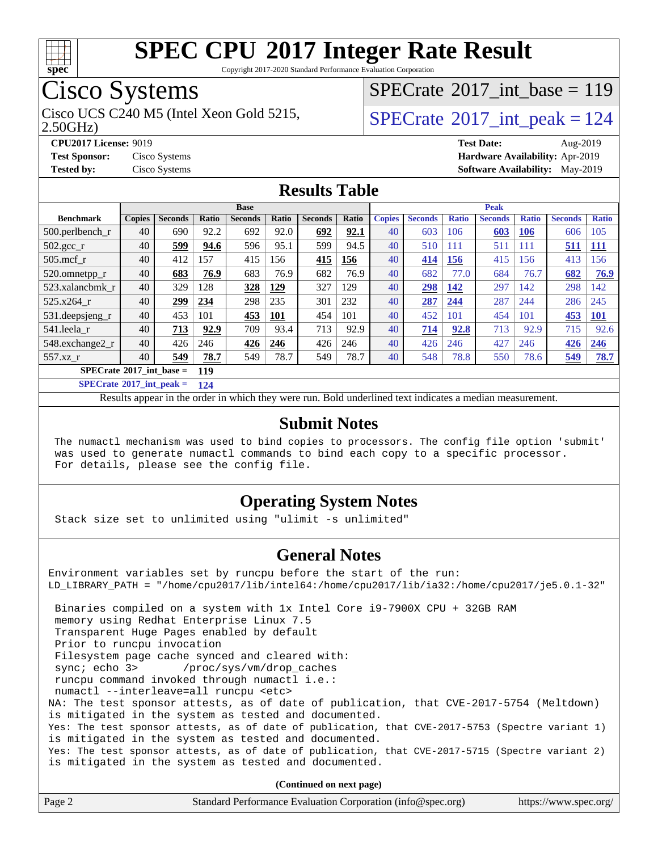

Copyright 2017-2020 Standard Performance Evaluation Corporation

# Cisco Systems

Cisco UCS C240 M5 (Intel Xeon Gold 5215,  $\text{SPECrate}$  $\text{SPECrate}$  $\text{SPECrate}$ <sup>®</sup>[2017\\_int\\_peak = 1](http://www.spec.org/auto/cpu2017/Docs/result-fields.html#SPECrate2017intpeak)24

 $SPECTate@2017_int\_base = 119$ 

2.50GHz)

**[CPU2017 License:](http://www.spec.org/auto/cpu2017/Docs/result-fields.html#CPU2017License)** 9019 **[Test Date:](http://www.spec.org/auto/cpu2017/Docs/result-fields.html#TestDate)** Aug-2019

**[Test Sponsor:](http://www.spec.org/auto/cpu2017/Docs/result-fields.html#TestSponsor)** Cisco Systems **[Hardware Availability:](http://www.spec.org/auto/cpu2017/Docs/result-fields.html#HardwareAvailability)** Apr-2019 **[Tested by:](http://www.spec.org/auto/cpu2017/Docs/result-fields.html#Testedby)** Cisco Systems **[Software Availability:](http://www.spec.org/auto/cpu2017/Docs/result-fields.html#SoftwareAvailability)** May-2019

## **[Results Table](http://www.spec.org/auto/cpu2017/Docs/result-fields.html#ResultsTable)**

|                                   | <b>Base</b>   |                |       |                |              | <b>Peak</b>    |       |               |                |              |                |              |                |              |
|-----------------------------------|---------------|----------------|-------|----------------|--------------|----------------|-------|---------------|----------------|--------------|----------------|--------------|----------------|--------------|
| <b>Benchmark</b>                  | <b>Copies</b> | <b>Seconds</b> | Ratio | <b>Seconds</b> | <b>Ratio</b> | <b>Seconds</b> | Ratio | <b>Copies</b> | <b>Seconds</b> | <b>Ratio</b> | <b>Seconds</b> | <b>Ratio</b> | <b>Seconds</b> | <b>Ratio</b> |
| $500.$ perlbench_r                | 40            | 690            | 92.2  | 692            | 92.0         | 692            | 92.1  | 40            | 603            | 106          | 603            | 106          | 606            | 105          |
| $502.\text{sec}$                  | 40            | 599            | 94.6  | 596            | 95.1         | 599            | 94.5  | 40            | 510            | 111          | 511            | 111          | 511            | <u>111</u>   |
| $505$ .mcf r                      | 40            | 412            | 157   | 415            | 156          | 415            | 156   | 40            | 414            | <b>156</b>   | 415            | 156          | 413            | 56           |
| 520.omnetpp_r                     | 40            | 683            | 76.9  | 683            | 76.9         | 682            | 76.9  | 40            | 682            | 77.0         | 684            | 76.7         | 682            | 76.9         |
| 523.xalancbmk r                   | 40            | 329            | 128   | 328            | 129          | 327            | 129   | 40            | 298            | 142          | 297            | 142          | 298            | 142          |
| 525.x264 r                        | 40            | 299            | 234   | 298            | 235          | 301            | 232   | 40            | 287            | 244          | 287            | 244          | 286            | 245          |
| 531.deepsjeng_r                   | 40            | 453            | 101   | 453            | 101          | 454            | 101   | 40            | 452            | 101          | 454            | 101          | 453            | <b>101</b>   |
| 541.leela r                       | 40            | 713            | 92.9  | 709            | 93.4         | 713            | 92.9  | 40            | 714            | 92.8         | 713            | 92.9         | 715            | 92.6         |
| 548.exchange2_r                   | 40            | 426            | 246   | 426            | 246          | 426            | 246   | 40            | 426            | 246          | 427            | 246          | 426            | 246          |
| $557.xz$ r                        | 40            | 549            | 78.7  | 549            | 78.7         | 549            | 78.7  | 40            | 548            | 78.8         | 550            | 78.6         | 549            | 78.7         |
| $SPECrate^{\circ}2017$ int base = |               |                | 119   |                |              |                |       |               |                |              |                |              |                |              |

**[SPECrate](http://www.spec.org/auto/cpu2017/Docs/result-fields.html#SPECrate2017intpeak)[2017\\_int\\_peak =](http://www.spec.org/auto/cpu2017/Docs/result-fields.html#SPECrate2017intpeak) 124**

Results appear in the [order in which they were run.](http://www.spec.org/auto/cpu2017/Docs/result-fields.html#RunOrder) Bold underlined text [indicates a median measurement.](http://www.spec.org/auto/cpu2017/Docs/result-fields.html#Median)

#### **[Submit Notes](http://www.spec.org/auto/cpu2017/Docs/result-fields.html#SubmitNotes)**

 The numactl mechanism was used to bind copies to processors. The config file option 'submit' was used to generate numactl commands to bind each copy to a specific processor. For details, please see the config file.

## **[Operating System Notes](http://www.spec.org/auto/cpu2017/Docs/result-fields.html#OperatingSystemNotes)**

Stack size set to unlimited using "ulimit -s unlimited"

### **[General Notes](http://www.spec.org/auto/cpu2017/Docs/result-fields.html#GeneralNotes)**

Environment variables set by runcpu before the start of the run: LD\_LIBRARY\_PATH = "/home/cpu2017/lib/intel64:/home/cpu2017/lib/ia32:/home/cpu2017/je5.0.1-32" Binaries compiled on a system with 1x Intel Core i9-7900X CPU + 32GB RAM memory using Redhat Enterprise Linux 7.5 Transparent Huge Pages enabled by default Prior to runcpu invocation Filesystem page cache synced and cleared with: sync; echo 3> /proc/sys/vm/drop\_caches runcpu command invoked through numactl i.e.: numactl --interleave=all runcpu <etc> NA: The test sponsor attests, as of date of publication, that CVE-2017-5754 (Meltdown) is mitigated in the system as tested and documented. Yes: The test sponsor attests, as of date of publication, that CVE-2017-5753 (Spectre variant 1) is mitigated in the system as tested and documented. Yes: The test sponsor attests, as of date of publication, that CVE-2017-5715 (Spectre variant 2) is mitigated in the system as tested and documented.

**(Continued on next page)**

| Page 2 | Standard Performance Evaluation Corporation (info@spec.org) | https://www.spec.org/ |
|--------|-------------------------------------------------------------|-----------------------|
|        |                                                             |                       |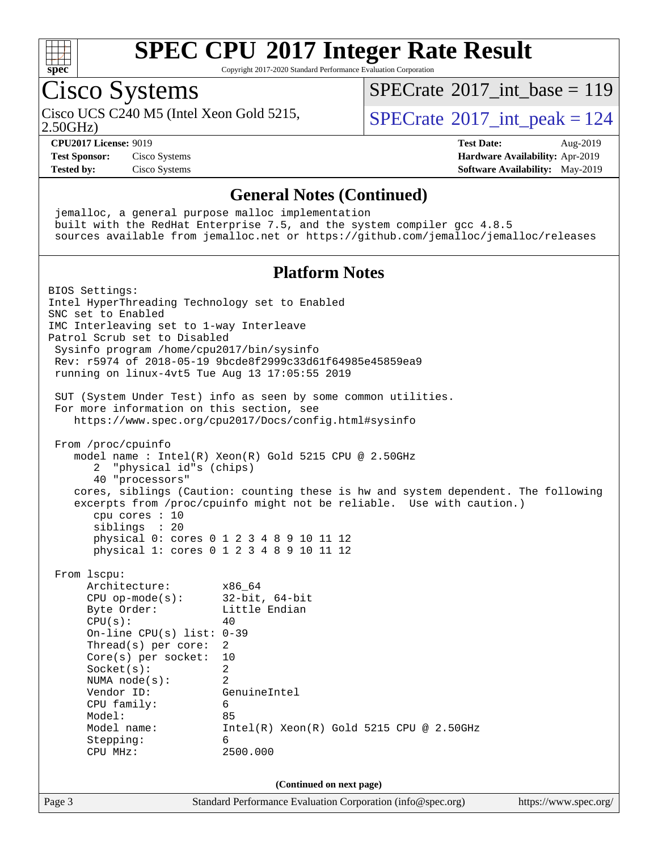

Copyright 2017-2020 Standard Performance Evaluation Corporation

## Cisco Systems

 $SPECTate$ <sup>®</sup>[2017\\_int\\_base =](http://www.spec.org/auto/cpu2017/Docs/result-fields.html#SPECrate2017intbase) 119

2.50GHz)

Cisco UCS C240 M5 (Intel Xeon Gold 5215,  $SPECrate^{\circ}2017\_int\_peak = 124$  $SPECrate^{\circ}2017\_int\_peak = 124$ 

#### **[CPU2017 License:](http://www.spec.org/auto/cpu2017/Docs/result-fields.html#CPU2017License)** 9019 **[Test Date:](http://www.spec.org/auto/cpu2017/Docs/result-fields.html#TestDate)** Aug-2019 **[Test Sponsor:](http://www.spec.org/auto/cpu2017/Docs/result-fields.html#TestSponsor)** Cisco Systems **[Hardware Availability:](http://www.spec.org/auto/cpu2017/Docs/result-fields.html#HardwareAvailability)** Apr-2019 **[Tested by:](http://www.spec.org/auto/cpu2017/Docs/result-fields.html#Testedby)** Cisco Systems **[Software Availability:](http://www.spec.org/auto/cpu2017/Docs/result-fields.html#SoftwareAvailability)** May-2019

#### **[General Notes \(Continued\)](http://www.spec.org/auto/cpu2017/Docs/result-fields.html#GeneralNotes)**

 jemalloc, a general purpose malloc implementation built with the RedHat Enterprise 7.5, and the system compiler gcc 4.8.5 sources available from jemalloc.net or <https://github.com/jemalloc/jemalloc/releases>

## **[Platform Notes](http://www.spec.org/auto/cpu2017/Docs/result-fields.html#PlatformNotes)**

Page 3 Standard Performance Evaluation Corporation [\(info@spec.org\)](mailto:info@spec.org) <https://www.spec.org/> BIOS Settings: Intel HyperThreading Technology set to Enabled SNC set to Enabled IMC Interleaving set to 1-way Interleave Patrol Scrub set to Disabled Sysinfo program /home/cpu2017/bin/sysinfo Rev: r5974 of 2018-05-19 9bcde8f2999c33d61f64985e45859ea9 running on linux-4vt5 Tue Aug 13 17:05:55 2019 SUT (System Under Test) info as seen by some common utilities. For more information on this section, see <https://www.spec.org/cpu2017/Docs/config.html#sysinfo> From /proc/cpuinfo model name : Intel(R) Xeon(R) Gold 5215 CPU @ 2.50GHz 2 "physical id"s (chips) 40 "processors" cores, siblings (Caution: counting these is hw and system dependent. The following excerpts from /proc/cpuinfo might not be reliable. Use with caution.) cpu cores : 10 siblings : 20 physical 0: cores 0 1 2 3 4 8 9 10 11 12 physical 1: cores 0 1 2 3 4 8 9 10 11 12 From lscpu: Architecture: x86\_64 CPU op-mode(s): 32-bit, 64-bit Byte Order: Little Endian  $CPU(s):$  40 On-line CPU(s) list: 0-39 Thread(s) per core: 2 Core(s) per socket: 10 Socket(s): 2 NUMA node(s): 2 Vendor ID: GenuineIntel CPU family: 6 Model: 85 Model name: Intel(R) Xeon(R) Gold 5215 CPU @ 2.50GHz Stepping: 6 CPU MHz: 2500.000 **(Continued on next page)**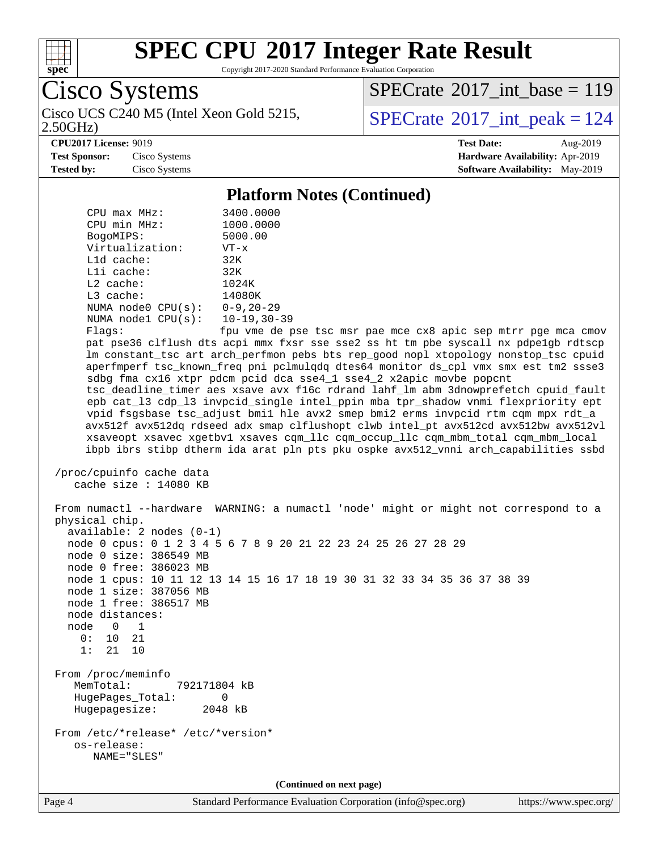

Copyright 2017-2020 Standard Performance Evaluation Corporation

Cisco Systems

 $SPECTate$ <sup>®</sup>[2017\\_int\\_base =](http://www.spec.org/auto/cpu2017/Docs/result-fields.html#SPECrate2017intbase) 119

2.50GHz)

Cisco UCS C240 M5 (Intel Xeon Gold 5215,  $\text{SPECrate}^{\otimes}2017\_int\_peak = 124$  $\text{SPECrate}^{\otimes}2017\_int\_peak = 124$  $\text{SPECrate}^{\otimes}2017\_int\_peak = 124$ 

**[CPU2017 License:](http://www.spec.org/auto/cpu2017/Docs/result-fields.html#CPU2017License)** 9019 **[Test Date:](http://www.spec.org/auto/cpu2017/Docs/result-fields.html#TestDate)** Aug-2019

**[Test Sponsor:](http://www.spec.org/auto/cpu2017/Docs/result-fields.html#TestSponsor)** Cisco Systems **[Hardware Availability:](http://www.spec.org/auto/cpu2017/Docs/result-fields.html#HardwareAvailability)** Apr-2019 **[Tested by:](http://www.spec.org/auto/cpu2017/Docs/result-fields.html#Testedby)** Cisco Systems **[Software Availability:](http://www.spec.org/auto/cpu2017/Docs/result-fields.html#SoftwareAvailability)** May-2019

**[Platform Notes \(Continued\)](http://www.spec.org/auto/cpu2017/Docs/result-fields.html#PlatformNotes)**

CPU max MHz: 3400.0000<br>CPU min MHz: 1000.0000 CPU min MHz: 1000.0000 BogoMIPS: 5000.00 Virtualization: VT-x L1d cache: 32K L1i cache: 32K L2 cache: 1024K L3 cache: 14080K NUMA node0 CPU(s): 0-9,20-29 NUMA node1 CPU(s): 10-19,30-39 Flags: fpu vme de pse tsc msr pae mce cx8 apic sep mtrr pge mca cmov pat pse36 clflush dts acpi mmx fxsr sse sse2 ss ht tm pbe syscall nx pdpe1gb rdtscp lm constant\_tsc art arch\_perfmon pebs bts rep\_good nopl xtopology nonstop\_tsc cpuid aperfmperf tsc\_known\_freq pni pclmulqdq dtes64 monitor ds\_cpl vmx smx est tm2 ssse3 sdbg fma cx16 xtpr pdcm pcid dca sse4\_1 sse4\_2 x2apic movbe popcnt tsc\_deadline\_timer aes xsave avx f16c rdrand lahf\_lm abm 3dnowprefetch cpuid\_fault epb cat\_l3 cdp\_l3 invpcid\_single intel\_ppin mba tpr\_shadow vnmi flexpriority ept vpid fsgsbase tsc\_adjust bmi1 hle avx2 smep bmi2 erms invpcid rtm cqm mpx rdt\_a avx512f avx512dq rdseed adx smap clflushopt clwb intel\_pt avx512cd avx512bw avx512vl xsaveopt xsavec xgetbv1 xsaves cqm\_llc cqm\_occup\_llc cqm\_mbm\_total cqm\_mbm\_local ibpb ibrs stibp dtherm ida arat pln pts pku ospke avx512\_vnni arch\_capabilities ssbd /proc/cpuinfo cache data cache size : 14080 KB From numactl --hardware WARNING: a numactl 'node' might or might not correspond to a physical chip. available: 2 nodes (0-1) node 0 cpus: 0 1 2 3 4 5 6 7 8 9 20 21 22 23 24 25 26 27 28 29 node 0 size: 386549 MB node 0 free: 386023 MB node 1 cpus: 10 11 12 13 14 15 16 17 18 19 30 31 32 33 34 35 36 37 38 39 node 1 size: 387056 MB node 1 free: 386517 MB node distances: node 0 1 0: 10 21 1: 21 10 From /proc/meminfo MemTotal: 792171804 kB HugePages\_Total: 0 Hugepagesize: 2048 kB From /etc/\*release\* /etc/\*version\* os-release: NAME="SLES" **(Continued on next page)**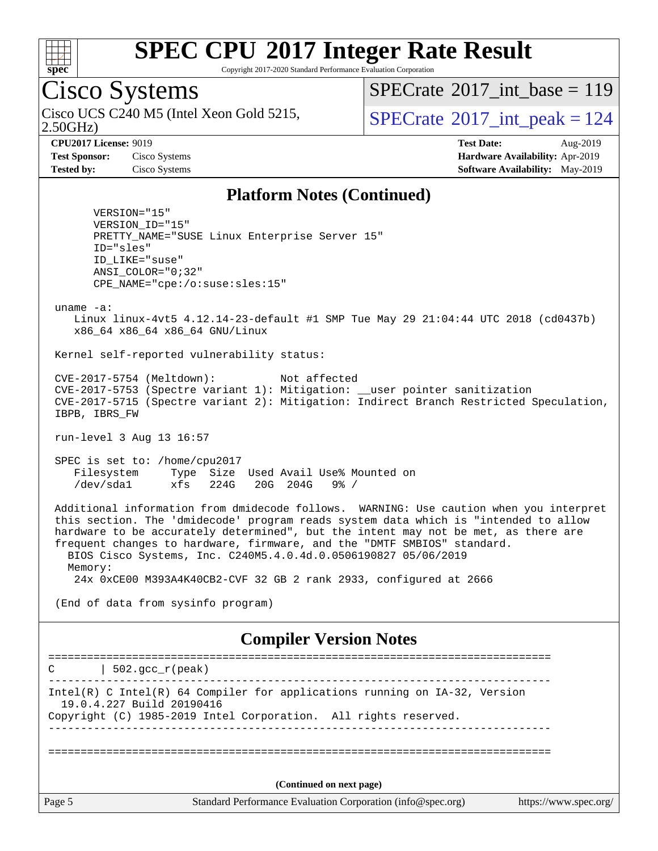

Copyright 2017-2020 Standard Performance Evaluation Corporation

# Cisco Systems

2.50GHz) Cisco UCS C240 M5 (Intel Xeon Gold 5215,  $SPECTa te \textsuperscript{\textdegree}2017\_int\_peak = 124$ 

 $SPECrate$ <sup>®</sup>[2017\\_int\\_base =](http://www.spec.org/auto/cpu2017/Docs/result-fields.html#SPECrate2017intbase) 119

**[CPU2017 License:](http://www.spec.org/auto/cpu2017/Docs/result-fields.html#CPU2017License)** 9019 **[Test Date:](http://www.spec.org/auto/cpu2017/Docs/result-fields.html#TestDate)** Aug-2019 **[Test Sponsor:](http://www.spec.org/auto/cpu2017/Docs/result-fields.html#TestSponsor)** Cisco Systems **[Hardware Availability:](http://www.spec.org/auto/cpu2017/Docs/result-fields.html#HardwareAvailability)** Apr-2019 **[Tested by:](http://www.spec.org/auto/cpu2017/Docs/result-fields.html#Testedby)** Cisco Systems **[Software Availability:](http://www.spec.org/auto/cpu2017/Docs/result-fields.html#SoftwareAvailability)** May-2019

#### **[Platform Notes \(Continued\)](http://www.spec.org/auto/cpu2017/Docs/result-fields.html#PlatformNotes)**

 VERSION="15" VERSION\_ID="15" PRETTY\_NAME="SUSE Linux Enterprise Server 15" ID="sles" ID\_LIKE="suse" ANSI\_COLOR="0;32" CPE\_NAME="cpe:/o:suse:sles:15"

uname -a:

 Linux linux-4vt5 4.12.14-23-default #1 SMP Tue May 29 21:04:44 UTC 2018 (cd0437b) x86\_64 x86\_64 x86\_64 GNU/Linux

Kernel self-reported vulnerability status:

 CVE-2017-5754 (Meltdown): Not affected CVE-2017-5753 (Spectre variant 1): Mitigation: \_\_user pointer sanitization CVE-2017-5715 (Spectre variant 2): Mitigation: Indirect Branch Restricted Speculation, IBPB, IBRS\_FW

run-level 3 Aug 13 16:57

 SPEC is set to: /home/cpu2017 Filesystem Type Size Used Avail Use% Mounted on /dev/sda1 xfs 224G 20G 204G 9% /

 Additional information from dmidecode follows. WARNING: Use caution when you interpret this section. The 'dmidecode' program reads system data which is "intended to allow hardware to be accurately determined", but the intent may not be met, as there are frequent changes to hardware, firmware, and the "DMTF SMBIOS" standard. BIOS Cisco Systems, Inc. C240M5.4.0.4d.0.0506190827 05/06/2019 Memory:

24x 0xCE00 M393A4K40CB2-CVF 32 GB 2 rank 2933, configured at 2666

(End of data from sysinfo program)

#### **[Compiler Version Notes](http://www.spec.org/auto/cpu2017/Docs/result-fields.html#CompilerVersionNotes)**

Page 5 Standard Performance Evaluation Corporation [\(info@spec.org\)](mailto:info@spec.org) <https://www.spec.org/> ==============================================================================  $C \qquad | \quad 502.\text{gcc\_r}(\text{peak})$ ------------------------------------------------------------------------------ Intel(R) C Intel(R) 64 Compiler for applications running on IA-32, Version 19.0.4.227 Build 20190416 Copyright (C) 1985-2019 Intel Corporation. All rights reserved. ------------------------------------------------------------------------------ ============================================================================== **(Continued on next page)**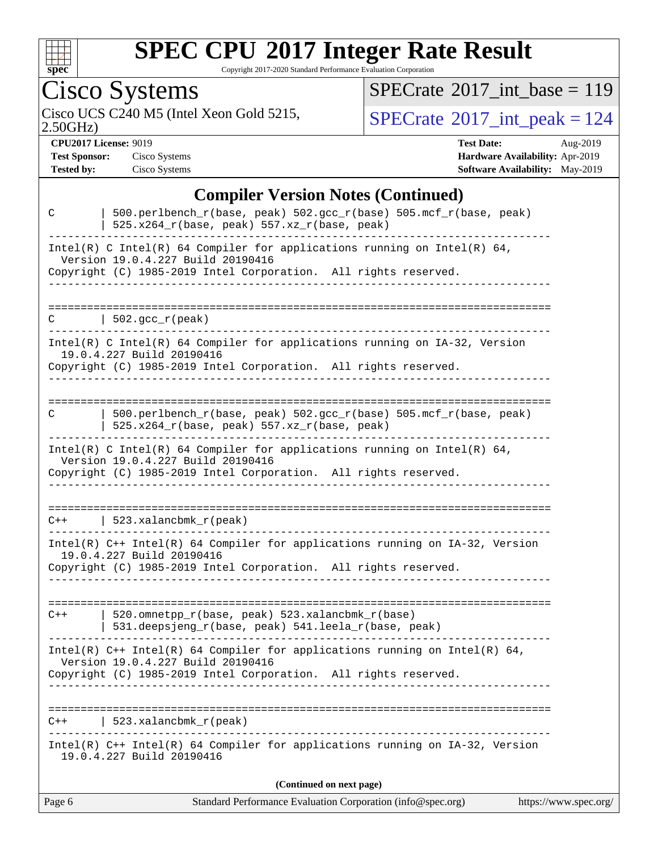

Copyright 2017-2020 Standard Performance Evaluation Corporation

Cisco Systems

2.50GHz)

 $SPECrate$ <sup>®</sup>[2017\\_int\\_base =](http://www.spec.org/auto/cpu2017/Docs/result-fields.html#SPECrate2017intbase) 119

Cisco UCS C240 M5 (Intel Xeon Gold 5215,  $SPECrate^{\circ}2017\_int\_peak = 124$  $SPECrate^{\circ}2017\_int\_peak = 124$ 

**[CPU2017 License:](http://www.spec.org/auto/cpu2017/Docs/result-fields.html#CPU2017License)** 9019 **[Test Date:](http://www.spec.org/auto/cpu2017/Docs/result-fields.html#TestDate)** Aug-2019 **[Test Sponsor:](http://www.spec.org/auto/cpu2017/Docs/result-fields.html#TestSponsor)** Cisco Systems **[Hardware Availability:](http://www.spec.org/auto/cpu2017/Docs/result-fields.html#HardwareAvailability)** Apr-2019 **[Tested by:](http://www.spec.org/auto/cpu2017/Docs/result-fields.html#Testedby)** Cisco Systems **[Software Availability:](http://www.spec.org/auto/cpu2017/Docs/result-fields.html#SoftwareAvailability)** May-2019

## **[Compiler Version Notes \(Continued\)](http://www.spec.org/auto/cpu2017/Docs/result-fields.html#CompilerVersionNotes)**

| Page 6       | Standard Performance Evaluation Corporation (info@spec.org)                                                                                                                          | https://www.spec.org/ |
|--------------|--------------------------------------------------------------------------------------------------------------------------------------------------------------------------------------|-----------------------|
|              | (Continued on next page)                                                                                                                                                             |                       |
|              | Intel(R) C++ Intel(R) 64 Compiler for applications running on IA-32, Version<br>19.0.4.227 Build 20190416                                                                            |                       |
| $C++$        | 523.xalancbmk_r(peak)                                                                                                                                                                |                       |
|              | Intel(R) $C++$ Intel(R) 64 Compiler for applications running on Intel(R) 64,<br>Version 19.0.4.227 Build 20190416<br>Copyright (C) 1985-2019 Intel Corporation. All rights reserved. |                       |
| $C++$        | 520.omnetpp_r(base, peak) 523.xalancbmk_r(base)<br>531.deepsjeng_r(base, peak) 541.leela_r(base, peak)                                                                               |                       |
|              | 19.0.4.227 Build 20190416<br>Copyright (C) 1985-2019 Intel Corporation. All rights reserved.                                                                                         |                       |
|              | $C++$   523.xalancbmk_r(peak)<br>Intel(R) C++ Intel(R) 64 Compiler for applications running on IA-32, Version                                                                        |                       |
|              | Intel(R) C Intel(R) 64 Compiler for applications running on Intel(R) 64,<br>Version 19.0.4.227 Build 20190416<br>Copyright (C) 1985-2019 Intel Corporation. All rights reserved.     |                       |
| C            | 500.perlbench_r(base, peak) 502.gcc_r(base) 505.mcf_r(base, peak)<br>$525.x264_r(base, peak) 557.xz_r(base, peak)$                                                                   |                       |
|              | $Intel(R)$ C Intel(R) 64 Compiler for applications running on $IA-32$ , Version<br>19.0.4.227 Build 20190416<br>Copyright (C) 1985-2019 Intel Corporation. All rights reserved.      |                       |
| C            | $\vert$ 502.gcc_r(peak)                                                                                                                                                              |                       |
|              | Version 19.0.4.227 Build 20190416<br>Copyright (C) 1985-2019 Intel Corporation. All rights reserved.<br>. _ _ _ _ _ _ _ _ _ _ _ _ _ _ _ _ _                                          |                       |
|              | Intel(R) C Intel(R) 64 Compiler for applications running on Intel(R) 64,                                                                                                             |                       |
| $\mathsf{C}$ | 500.perlbench_r(base, peak) 502.gcc_r(base) 505.mcf_r(base, peak)<br>$525.x264_r(base, peak)$ $557.xz_r(base, peak)$                                                                 |                       |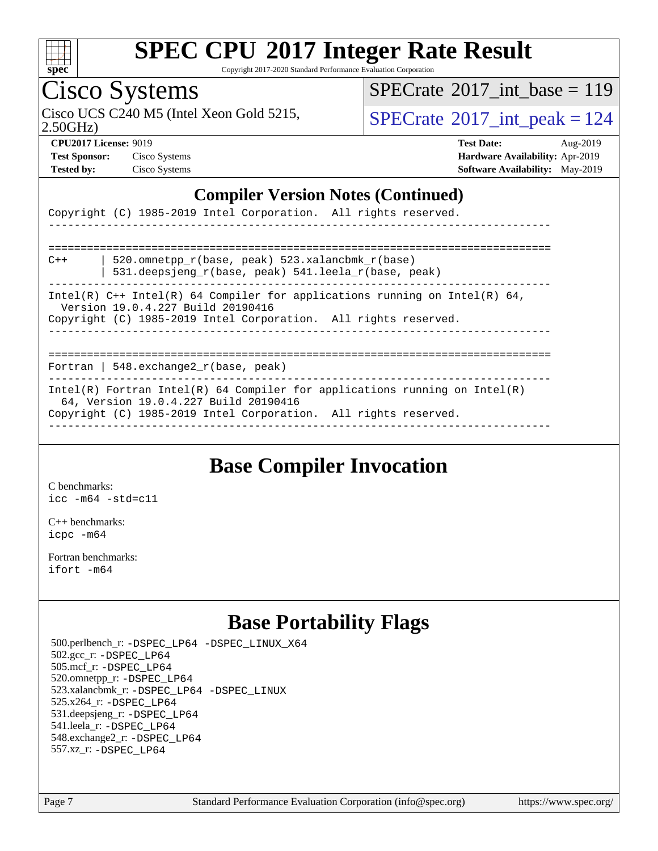

Copyright 2017-2020 Standard Performance Evaluation Corporation

# Cisco Systems

 $SPECTate@2017_int\_base = 119$ 

Cisco UCS C240 M5 (Intel Xeon Gold 5215,  $\text{SPECrate}$  $\text{SPECrate}$  $\text{SPECrate}$ <sup>®</sup>[2017\\_int\\_peak = 1](http://www.spec.org/auto/cpu2017/Docs/result-fields.html#SPECrate2017intpeak)24

2.50GHz)

**[Test Sponsor:](http://www.spec.org/auto/cpu2017/Docs/result-fields.html#TestSponsor)** Cisco Systems **[Hardware Availability:](http://www.spec.org/auto/cpu2017/Docs/result-fields.html#HardwareAvailability)** Apr-2019

**[CPU2017 License:](http://www.spec.org/auto/cpu2017/Docs/result-fields.html#CPU2017License)** 9019 **[Test Date:](http://www.spec.org/auto/cpu2017/Docs/result-fields.html#TestDate)** Aug-2019 **[Tested by:](http://www.spec.org/auto/cpu2017/Docs/result-fields.html#Testedby)** Cisco Systems **[Software Availability:](http://www.spec.org/auto/cpu2017/Docs/result-fields.html#SoftwareAvailability)** May-2019

### **[Compiler Version Notes \(Continued\)](http://www.spec.org/auto/cpu2017/Docs/result-fields.html#CompilerVersionNotes)**

| Copyright (C) 1985-2019 Intel Corporation. All rights reserved. |  |
|-----------------------------------------------------------------|--|
|-----------------------------------------------------------------|--|

| $C++$                                                                                                                                                                                  | 520.omnetpp $r(base, peak)$ 523.xalancbmk $r(base)$<br>531.deepsjeng_r(base, peak) 541.leela_r(base, peak) |  |  |  |
|----------------------------------------------------------------------------------------------------------------------------------------------------------------------------------------|------------------------------------------------------------------------------------------------------------|--|--|--|
| Intel(R) $C++$ Intel(R) 64 Compiler for applications running on Intel(R) 64,<br>Version 19.0.4.227 Build 20190416<br>Copyright (C) 1985-2019 Intel Corporation. All rights reserved.   |                                                                                                            |  |  |  |
| Fortran   548. exchange $2_r$ (base, peak)                                                                                                                                             |                                                                                                            |  |  |  |
| Intel(R) Fortran Intel(R) 64 Compiler for applications running on Intel(R)<br>64, Version 19.0.4.227 Build 20190416<br>Copyright (C) 1985-2019 Intel Corporation. All rights reserved. |                                                                                                            |  |  |  |

## **[Base Compiler Invocation](http://www.spec.org/auto/cpu2017/Docs/result-fields.html#BaseCompilerInvocation)**

[C benchmarks](http://www.spec.org/auto/cpu2017/Docs/result-fields.html#Cbenchmarks): [icc -m64 -std=c11](http://www.spec.org/cpu2017/results/res2019q3/cpu2017-20190819-16773.flags.html#user_CCbase_intel_icc_64bit_c11_33ee0cdaae7deeeab2a9725423ba97205ce30f63b9926c2519791662299b76a0318f32ddfffdc46587804de3178b4f9328c46fa7c2b0cd779d7a61945c91cd35)

[C++ benchmarks:](http://www.spec.org/auto/cpu2017/Docs/result-fields.html#CXXbenchmarks) [icpc -m64](http://www.spec.org/cpu2017/results/res2019q3/cpu2017-20190819-16773.flags.html#user_CXXbase_intel_icpc_64bit_4ecb2543ae3f1412ef961e0650ca070fec7b7afdcd6ed48761b84423119d1bf6bdf5cad15b44d48e7256388bc77273b966e5eb805aefd121eb22e9299b2ec9d9)

[Fortran benchmarks](http://www.spec.org/auto/cpu2017/Docs/result-fields.html#Fortranbenchmarks): [ifort -m64](http://www.spec.org/cpu2017/results/res2019q3/cpu2017-20190819-16773.flags.html#user_FCbase_intel_ifort_64bit_24f2bb282fbaeffd6157abe4f878425411749daecae9a33200eee2bee2fe76f3b89351d69a8130dd5949958ce389cf37ff59a95e7a40d588e8d3a57e0c3fd751)

## **[Base Portability Flags](http://www.spec.org/auto/cpu2017/Docs/result-fields.html#BasePortabilityFlags)**

 500.perlbench\_r: [-DSPEC\\_LP64](http://www.spec.org/cpu2017/results/res2019q3/cpu2017-20190819-16773.flags.html#b500.perlbench_r_basePORTABILITY_DSPEC_LP64) [-DSPEC\\_LINUX\\_X64](http://www.spec.org/cpu2017/results/res2019q3/cpu2017-20190819-16773.flags.html#b500.perlbench_r_baseCPORTABILITY_DSPEC_LINUX_X64) 502.gcc\_r: [-DSPEC\\_LP64](http://www.spec.org/cpu2017/results/res2019q3/cpu2017-20190819-16773.flags.html#suite_basePORTABILITY502_gcc_r_DSPEC_LP64) 505.mcf\_r: [-DSPEC\\_LP64](http://www.spec.org/cpu2017/results/res2019q3/cpu2017-20190819-16773.flags.html#suite_basePORTABILITY505_mcf_r_DSPEC_LP64) 520.omnetpp\_r: [-DSPEC\\_LP64](http://www.spec.org/cpu2017/results/res2019q3/cpu2017-20190819-16773.flags.html#suite_basePORTABILITY520_omnetpp_r_DSPEC_LP64) 523.xalancbmk\_r: [-DSPEC\\_LP64](http://www.spec.org/cpu2017/results/res2019q3/cpu2017-20190819-16773.flags.html#suite_basePORTABILITY523_xalancbmk_r_DSPEC_LP64) [-DSPEC\\_LINUX](http://www.spec.org/cpu2017/results/res2019q3/cpu2017-20190819-16773.flags.html#b523.xalancbmk_r_baseCXXPORTABILITY_DSPEC_LINUX) 525.x264\_r: [-DSPEC\\_LP64](http://www.spec.org/cpu2017/results/res2019q3/cpu2017-20190819-16773.flags.html#suite_basePORTABILITY525_x264_r_DSPEC_LP64) 531.deepsjeng\_r: [-DSPEC\\_LP64](http://www.spec.org/cpu2017/results/res2019q3/cpu2017-20190819-16773.flags.html#suite_basePORTABILITY531_deepsjeng_r_DSPEC_LP64) 541.leela\_r: [-DSPEC\\_LP64](http://www.spec.org/cpu2017/results/res2019q3/cpu2017-20190819-16773.flags.html#suite_basePORTABILITY541_leela_r_DSPEC_LP64) 548.exchange2\_r: [-DSPEC\\_LP64](http://www.spec.org/cpu2017/results/res2019q3/cpu2017-20190819-16773.flags.html#suite_basePORTABILITY548_exchange2_r_DSPEC_LP64) 557.xz\_r: [-DSPEC\\_LP64](http://www.spec.org/cpu2017/results/res2019q3/cpu2017-20190819-16773.flags.html#suite_basePORTABILITY557_xz_r_DSPEC_LP64)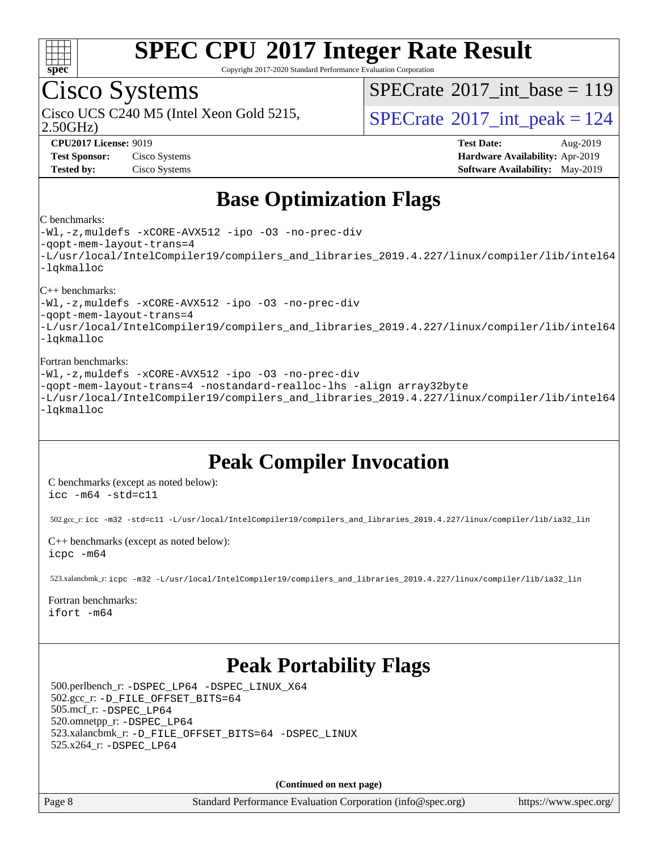

Copyright 2017-2020 Standard Performance Evaluation Corporation

## Cisco Systems

2.50GHz)

 $SPECTate@2017_int\_base = 119$ 

Cisco UCS C240 M5 (Intel Xeon Gold 5215,  $\vert$ [SPECrate](http://www.spec.org/auto/cpu2017/Docs/result-fields.html#SPECrate2017intpeak)<sup>®</sup>[2017\\_int\\_peak = 1](http://www.spec.org/auto/cpu2017/Docs/result-fields.html#SPECrate2017intpeak)24

**[Test Sponsor:](http://www.spec.org/auto/cpu2017/Docs/result-fields.html#TestSponsor)** Cisco Systems **[Hardware Availability:](http://www.spec.org/auto/cpu2017/Docs/result-fields.html#HardwareAvailability)** Apr-2019

**[CPU2017 License:](http://www.spec.org/auto/cpu2017/Docs/result-fields.html#CPU2017License)** 9019 **[Test Date:](http://www.spec.org/auto/cpu2017/Docs/result-fields.html#TestDate)** Aug-2019 **[Tested by:](http://www.spec.org/auto/cpu2017/Docs/result-fields.html#Testedby)** Cisco Systems **[Software Availability:](http://www.spec.org/auto/cpu2017/Docs/result-fields.html#SoftwareAvailability)** May-2019

## **[Base Optimization Flags](http://www.spec.org/auto/cpu2017/Docs/result-fields.html#BaseOptimizationFlags)**

#### [C benchmarks:](http://www.spec.org/auto/cpu2017/Docs/result-fields.html#Cbenchmarks)

[-Wl,-z,muldefs](http://www.spec.org/cpu2017/results/res2019q3/cpu2017-20190819-16773.flags.html#user_CCbase_link_force_multiple1_b4cbdb97b34bdee9ceefcfe54f4c8ea74255f0b02a4b23e853cdb0e18eb4525ac79b5a88067c842dd0ee6996c24547a27a4b99331201badda8798ef8a743f577) [-xCORE-AVX512](http://www.spec.org/cpu2017/results/res2019q3/cpu2017-20190819-16773.flags.html#user_CCbase_f-xCORE-AVX512) [-ipo](http://www.spec.org/cpu2017/results/res2019q3/cpu2017-20190819-16773.flags.html#user_CCbase_f-ipo) [-O3](http://www.spec.org/cpu2017/results/res2019q3/cpu2017-20190819-16773.flags.html#user_CCbase_f-O3) [-no-prec-div](http://www.spec.org/cpu2017/results/res2019q3/cpu2017-20190819-16773.flags.html#user_CCbase_f-no-prec-div) [-qopt-mem-layout-trans=4](http://www.spec.org/cpu2017/results/res2019q3/cpu2017-20190819-16773.flags.html#user_CCbase_f-qopt-mem-layout-trans_fa39e755916c150a61361b7846f310bcdf6f04e385ef281cadf3647acec3f0ae266d1a1d22d972a7087a248fd4e6ca390a3634700869573d231a252c784941a8) [-L/usr/local/IntelCompiler19/compilers\\_and\\_libraries\\_2019.4.227/linux/compiler/lib/intel64](http://www.spec.org/cpu2017/results/res2019q3/cpu2017-20190819-16773.flags.html#user_CCbase_qkmalloc_link_0ffe0cb02c68ef1b443a077c7888c10c67ca0d1dd7138472156f06a085bbad385f78d49618ad55dca9db3b1608e84afc2f69b4003b1d1ca498a9fc1462ccefda) [-lqkmalloc](http://www.spec.org/cpu2017/results/res2019q3/cpu2017-20190819-16773.flags.html#user_CCbase_qkmalloc_link_lib_79a818439969f771c6bc311cfd333c00fc099dad35c030f5aab9dda831713d2015205805422f83de8875488a2991c0a156aaa600e1f9138f8fc37004abc96dc5)

#### [C++ benchmarks](http://www.spec.org/auto/cpu2017/Docs/result-fields.html#CXXbenchmarks):

[-Wl,-z,muldefs](http://www.spec.org/cpu2017/results/res2019q3/cpu2017-20190819-16773.flags.html#user_CXXbase_link_force_multiple1_b4cbdb97b34bdee9ceefcfe54f4c8ea74255f0b02a4b23e853cdb0e18eb4525ac79b5a88067c842dd0ee6996c24547a27a4b99331201badda8798ef8a743f577) [-xCORE-AVX512](http://www.spec.org/cpu2017/results/res2019q3/cpu2017-20190819-16773.flags.html#user_CXXbase_f-xCORE-AVX512) [-ipo](http://www.spec.org/cpu2017/results/res2019q3/cpu2017-20190819-16773.flags.html#user_CXXbase_f-ipo) [-O3](http://www.spec.org/cpu2017/results/res2019q3/cpu2017-20190819-16773.flags.html#user_CXXbase_f-O3) [-no-prec-div](http://www.spec.org/cpu2017/results/res2019q3/cpu2017-20190819-16773.flags.html#user_CXXbase_f-no-prec-div) [-qopt-mem-layout-trans=4](http://www.spec.org/cpu2017/results/res2019q3/cpu2017-20190819-16773.flags.html#user_CXXbase_f-qopt-mem-layout-trans_fa39e755916c150a61361b7846f310bcdf6f04e385ef281cadf3647acec3f0ae266d1a1d22d972a7087a248fd4e6ca390a3634700869573d231a252c784941a8) [-L/usr/local/IntelCompiler19/compilers\\_and\\_libraries\\_2019.4.227/linux/compiler/lib/intel64](http://www.spec.org/cpu2017/results/res2019q3/cpu2017-20190819-16773.flags.html#user_CXXbase_qkmalloc_link_0ffe0cb02c68ef1b443a077c7888c10c67ca0d1dd7138472156f06a085bbad385f78d49618ad55dca9db3b1608e84afc2f69b4003b1d1ca498a9fc1462ccefda) [-lqkmalloc](http://www.spec.org/cpu2017/results/res2019q3/cpu2017-20190819-16773.flags.html#user_CXXbase_qkmalloc_link_lib_79a818439969f771c6bc311cfd333c00fc099dad35c030f5aab9dda831713d2015205805422f83de8875488a2991c0a156aaa600e1f9138f8fc37004abc96dc5)

#### [Fortran benchmarks:](http://www.spec.org/auto/cpu2017/Docs/result-fields.html#Fortranbenchmarks)

[-Wl,-z,muldefs](http://www.spec.org/cpu2017/results/res2019q3/cpu2017-20190819-16773.flags.html#user_FCbase_link_force_multiple1_b4cbdb97b34bdee9ceefcfe54f4c8ea74255f0b02a4b23e853cdb0e18eb4525ac79b5a88067c842dd0ee6996c24547a27a4b99331201badda8798ef8a743f577) [-xCORE-AVX512](http://www.spec.org/cpu2017/results/res2019q3/cpu2017-20190819-16773.flags.html#user_FCbase_f-xCORE-AVX512) [-ipo](http://www.spec.org/cpu2017/results/res2019q3/cpu2017-20190819-16773.flags.html#user_FCbase_f-ipo) [-O3](http://www.spec.org/cpu2017/results/res2019q3/cpu2017-20190819-16773.flags.html#user_FCbase_f-O3) [-no-prec-div](http://www.spec.org/cpu2017/results/res2019q3/cpu2017-20190819-16773.flags.html#user_FCbase_f-no-prec-div) [-qopt-mem-layout-trans=4](http://www.spec.org/cpu2017/results/res2019q3/cpu2017-20190819-16773.flags.html#user_FCbase_f-qopt-mem-layout-trans_fa39e755916c150a61361b7846f310bcdf6f04e385ef281cadf3647acec3f0ae266d1a1d22d972a7087a248fd4e6ca390a3634700869573d231a252c784941a8) [-nostandard-realloc-lhs](http://www.spec.org/cpu2017/results/res2019q3/cpu2017-20190819-16773.flags.html#user_FCbase_f_2003_std_realloc_82b4557e90729c0f113870c07e44d33d6f5a304b4f63d4c15d2d0f1fab99f5daaed73bdb9275d9ae411527f28b936061aa8b9c8f2d63842963b95c9dd6426b8a) [-align array32byte](http://www.spec.org/cpu2017/results/res2019q3/cpu2017-20190819-16773.flags.html#user_FCbase_align_array32byte_b982fe038af199962ba9a80c053b8342c548c85b40b8e86eb3cc33dee0d7986a4af373ac2d51c3f7cf710a18d62fdce2948f201cd044323541f22fc0fffc51b6) [-L/usr/local/IntelCompiler19/compilers\\_and\\_libraries\\_2019.4.227/linux/compiler/lib/intel64](http://www.spec.org/cpu2017/results/res2019q3/cpu2017-20190819-16773.flags.html#user_FCbase_qkmalloc_link_0ffe0cb02c68ef1b443a077c7888c10c67ca0d1dd7138472156f06a085bbad385f78d49618ad55dca9db3b1608e84afc2f69b4003b1d1ca498a9fc1462ccefda) [-lqkmalloc](http://www.spec.org/cpu2017/results/res2019q3/cpu2017-20190819-16773.flags.html#user_FCbase_qkmalloc_link_lib_79a818439969f771c6bc311cfd333c00fc099dad35c030f5aab9dda831713d2015205805422f83de8875488a2991c0a156aaa600e1f9138f8fc37004abc96dc5)

## **[Peak Compiler Invocation](http://www.spec.org/auto/cpu2017/Docs/result-fields.html#PeakCompilerInvocation)**

[C benchmarks \(except as noted below\)](http://www.spec.org/auto/cpu2017/Docs/result-fields.html#Cbenchmarksexceptasnotedbelow): [icc -m64 -std=c11](http://www.spec.org/cpu2017/results/res2019q3/cpu2017-20190819-16773.flags.html#user_CCpeak_intel_icc_64bit_c11_33ee0cdaae7deeeab2a9725423ba97205ce30f63b9926c2519791662299b76a0318f32ddfffdc46587804de3178b4f9328c46fa7c2b0cd779d7a61945c91cd35)

502.gcc\_r: [icc -m32 -std=c11 -L/usr/local/IntelCompiler19/compilers\\_and\\_libraries\\_2019.4.227/linux/compiler/lib/ia32\\_lin](http://www.spec.org/cpu2017/results/res2019q3/cpu2017-20190819-16773.flags.html#user_peakCCLD502_gcc_r_intel_icc_38a193a897536fa645efb1dc6ac2bea2bddbbe56f130e144a606d1b2649003f27c79f8814020c1f9355cbbf0d7ab0d194a7a979ee1e2a95641bbb8cf571aac7b)

[C++ benchmarks \(except as noted below\)](http://www.spec.org/auto/cpu2017/Docs/result-fields.html#CXXbenchmarksexceptasnotedbelow): [icpc -m64](http://www.spec.org/cpu2017/results/res2019q3/cpu2017-20190819-16773.flags.html#user_CXXpeak_intel_icpc_64bit_4ecb2543ae3f1412ef961e0650ca070fec7b7afdcd6ed48761b84423119d1bf6bdf5cad15b44d48e7256388bc77273b966e5eb805aefd121eb22e9299b2ec9d9)

523.xalancbmk\_r: [icpc -m32 -L/usr/local/IntelCompiler19/compilers\\_and\\_libraries\\_2019.4.227/linux/compiler/lib/ia32\\_lin](http://www.spec.org/cpu2017/results/res2019q3/cpu2017-20190819-16773.flags.html#user_peakCXXLD523_xalancbmk_r_intel_icpc_840f965b38320ad10acba6032d6ca4c816e722c432c250f3408feae347068ba449f694544a48cf12cd3bde3495e328e6747ab0f629c2925d3062e2ee144af951)

### [Fortran benchmarks](http://www.spec.org/auto/cpu2017/Docs/result-fields.html#Fortranbenchmarks):

#### [ifort -m64](http://www.spec.org/cpu2017/results/res2019q3/cpu2017-20190819-16773.flags.html#user_FCpeak_intel_ifort_64bit_24f2bb282fbaeffd6157abe4f878425411749daecae9a33200eee2bee2fe76f3b89351d69a8130dd5949958ce389cf37ff59a95e7a40d588e8d3a57e0c3fd751)

## **[Peak Portability Flags](http://www.spec.org/auto/cpu2017/Docs/result-fields.html#PeakPortabilityFlags)**

 500.perlbench\_r: [-DSPEC\\_LP64](http://www.spec.org/cpu2017/results/res2019q3/cpu2017-20190819-16773.flags.html#b500.perlbench_r_peakPORTABILITY_DSPEC_LP64) [-DSPEC\\_LINUX\\_X64](http://www.spec.org/cpu2017/results/res2019q3/cpu2017-20190819-16773.flags.html#b500.perlbench_r_peakCPORTABILITY_DSPEC_LINUX_X64) 502.gcc\_r: [-D\\_FILE\\_OFFSET\\_BITS=64](http://www.spec.org/cpu2017/results/res2019q3/cpu2017-20190819-16773.flags.html#user_peakPORTABILITY502_gcc_r_file_offset_bits_64_5ae949a99b284ddf4e95728d47cb0843d81b2eb0e18bdfe74bbf0f61d0b064f4bda2f10ea5eb90e1dcab0e84dbc592acfc5018bc955c18609f94ddb8d550002c) 505.mcf\_r: [-DSPEC\\_LP64](http://www.spec.org/cpu2017/results/res2019q3/cpu2017-20190819-16773.flags.html#suite_peakPORTABILITY505_mcf_r_DSPEC_LP64) 520.omnetpp\_r: [-DSPEC\\_LP64](http://www.spec.org/cpu2017/results/res2019q3/cpu2017-20190819-16773.flags.html#suite_peakPORTABILITY520_omnetpp_r_DSPEC_LP64) 523.xalancbmk\_r: [-D\\_FILE\\_OFFSET\\_BITS=64](http://www.spec.org/cpu2017/results/res2019q3/cpu2017-20190819-16773.flags.html#user_peakPORTABILITY523_xalancbmk_r_file_offset_bits_64_5ae949a99b284ddf4e95728d47cb0843d81b2eb0e18bdfe74bbf0f61d0b064f4bda2f10ea5eb90e1dcab0e84dbc592acfc5018bc955c18609f94ddb8d550002c) [-DSPEC\\_LINUX](http://www.spec.org/cpu2017/results/res2019q3/cpu2017-20190819-16773.flags.html#b523.xalancbmk_r_peakCXXPORTABILITY_DSPEC_LINUX) 525.x264\_r: [-DSPEC\\_LP64](http://www.spec.org/cpu2017/results/res2019q3/cpu2017-20190819-16773.flags.html#suite_peakPORTABILITY525_x264_r_DSPEC_LP64)

**(Continued on next page)**

Page 8 Standard Performance Evaluation Corporation [\(info@spec.org\)](mailto:info@spec.org) <https://www.spec.org/>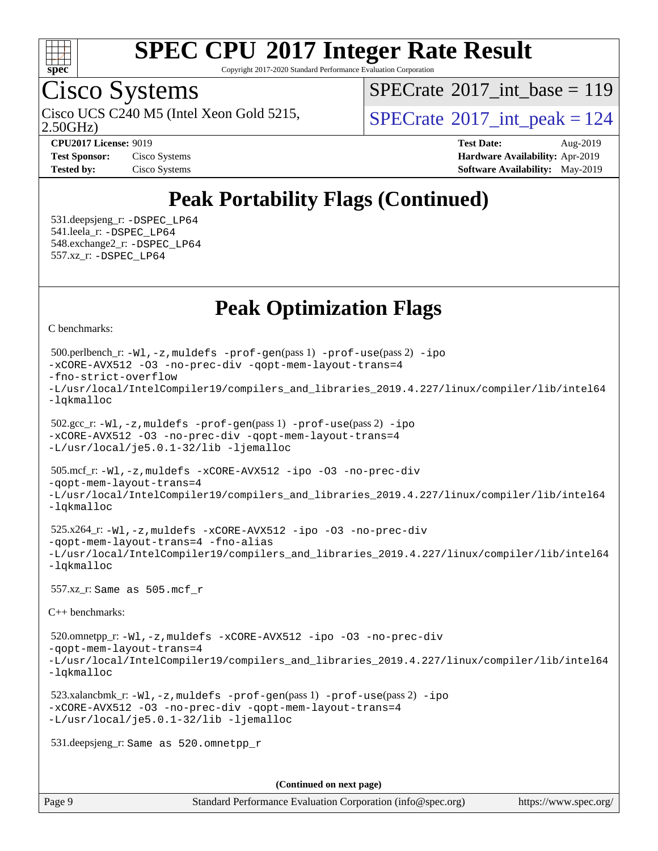

Copyright 2017-2020 Standard Performance Evaluation Corporation

## Cisco Systems

2.50GHz) Cisco UCS C240 M5 (Intel Xeon Gold 5215,  $SPECrate^{\circ}2017\_int\_peak = 124$  $SPECrate^{\circ}2017\_int\_peak = 124$ 

 $SPECrate$ <sup>®</sup>[2017\\_int\\_base =](http://www.spec.org/auto/cpu2017/Docs/result-fields.html#SPECrate2017intbase) 119

**[CPU2017 License:](http://www.spec.org/auto/cpu2017/Docs/result-fields.html#CPU2017License)** 9019 **[Test Date:](http://www.spec.org/auto/cpu2017/Docs/result-fields.html#TestDate)** Aug-2019 **[Test Sponsor:](http://www.spec.org/auto/cpu2017/Docs/result-fields.html#TestSponsor)** Cisco Systems **[Hardware Availability:](http://www.spec.org/auto/cpu2017/Docs/result-fields.html#HardwareAvailability)** Apr-2019 **[Tested by:](http://www.spec.org/auto/cpu2017/Docs/result-fields.html#Testedby)** Cisco Systems **Cisco Systems [Software Availability:](http://www.spec.org/auto/cpu2017/Docs/result-fields.html#SoftwareAvailability)** May-2019

## **[Peak Portability Flags \(Continued\)](http://www.spec.org/auto/cpu2017/Docs/result-fields.html#PeakPortabilityFlags)**

 531.deepsjeng\_r: [-DSPEC\\_LP64](http://www.spec.org/cpu2017/results/res2019q3/cpu2017-20190819-16773.flags.html#suite_peakPORTABILITY531_deepsjeng_r_DSPEC_LP64) 541.leela\_r: [-DSPEC\\_LP64](http://www.spec.org/cpu2017/results/res2019q3/cpu2017-20190819-16773.flags.html#suite_peakPORTABILITY541_leela_r_DSPEC_LP64) 548.exchange2\_r: [-DSPEC\\_LP64](http://www.spec.org/cpu2017/results/res2019q3/cpu2017-20190819-16773.flags.html#suite_peakPORTABILITY548_exchange2_r_DSPEC_LP64) 557.xz\_r: [-DSPEC\\_LP64](http://www.spec.org/cpu2017/results/res2019q3/cpu2017-20190819-16773.flags.html#suite_peakPORTABILITY557_xz_r_DSPEC_LP64)

## **[Peak Optimization Flags](http://www.spec.org/auto/cpu2017/Docs/result-fields.html#PeakOptimizationFlags)**

[C benchmarks](http://www.spec.org/auto/cpu2017/Docs/result-fields.html#Cbenchmarks):

```
(info@spec.org)https://www.spec.org/
  500.perlbench_r: -Wl,-z,muldefs -prof-gen(pass 1) -prof-use(pass 2) -ipo
-xCORE-AVX512 -O3 -no-prec-div -qopt-mem-layout-trans=4
-fno-strict-overflow
-L/usr/local/IntelCompiler19/compilers_and_libraries_2019.4.227/linux/compiler/lib/intel64
-lqkmalloc
  502.gcc_r: -Wl,-z,muldefs -prof-gen(pass 1) -prof-use(pass 2) -ipo
-xCORE-AVX512 -O3 -no-prec-div -qopt-mem-layout-trans=4
-L/usr/local/je5.0.1-32/lib -ljemalloc
  505.mcf_r: -Wl,-z,muldefs -xCORE-AVX512 -ipo -O3 -no-prec-div
-qopt-mem-layout-trans=4
-L/usr/local/IntelCompiler19/compilers_and_libraries_2019.4.227/linux/compiler/lib/intel64
-lqkmalloc
  525.x264_r: -Wl,-z,muldefs -xCORE-AVX512 -ipo -O3 -no-prec-div
-qopt-mem-layout-trans=4 -fno-alias
-L/usr/local/IntelCompiler19/compilers_and_libraries_2019.4.227/linux/compiler/lib/intel64
-lqkmalloc
  557.xz_r: Same as 505.mcf_r
C++ benchmarks: 
  520.omnetpp_r: -Wl,-z,muldefs -xCORE-AVX512 -ipo -O3 -no-prec-div
-qopt-mem-layout-trans=4
-L/usr/local/IntelCompiler19/compilers_and_libraries_2019.4.227/linux/compiler/lib/intel64
-lqkmalloc
  523.xalancbmk_r: -Wl,-z,muldefs -prof-gen(pass 1) -prof-use(pass 2) -ipo
-xCORE-AVX512 -O3 -no-prec-div -qopt-mem-layout-trans=4
-L/usr/local/je5.0.1-32/lib -ljemalloc
  531.deepsjeng_r: Same as 520.omnetpp_r
                                     (Continued on next page)
```